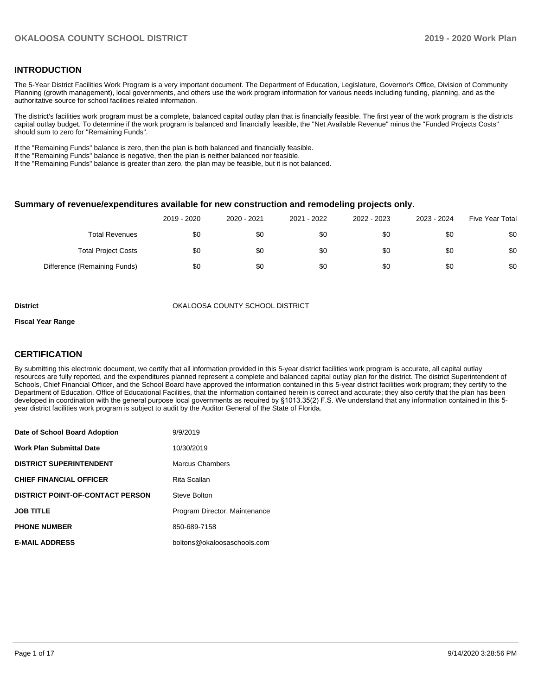### **INTRODUCTION**

The 5-Year District Facilities Work Program is a very important document. The Department of Education, Legislature, Governor's Office, Division of Community Planning (growth management), local governments, and others use the work program information for various needs including funding, planning, and as the authoritative source for school facilities related information.

The district's facilities work program must be a complete, balanced capital outlay plan that is financially feasible. The first year of the work program is the districts capital outlay budget. To determine if the work program is balanced and financially feasible, the "Net Available Revenue" minus the "Funded Projects Costs" should sum to zero for "Remaining Funds".

If the "Remaining Funds" balance is zero, then the plan is both balanced and financially feasible.

If the "Remaining Funds" balance is negative, then the plan is neither balanced nor feasible.

If the "Remaining Funds" balance is greater than zero, the plan may be feasible, but it is not balanced.

#### **Summary of revenue/expenditures available for new construction and remodeling projects only.**

| <b>Five Year Total</b> | 2023 - 2024 | 2022 - 2023 | 2021 - 2022 | 2020 - 2021 | 2019 - 2020 |                              |
|------------------------|-------------|-------------|-------------|-------------|-------------|------------------------------|
| \$0                    | \$0         | \$0         | \$0         | \$0         | \$0         | Total Revenues               |
| \$0                    | \$0         | \$0         | \$0         | \$0         | \$0         | <b>Total Project Costs</b>   |
| \$0                    | \$0         | \$0         | \$0         | \$0         | \$0         | Difference (Remaining Funds) |

**District COUNTY SCHOOL DISTRICT** OKALOOSA COUNTY SCHOOL DISTRICT

#### **Fiscal Year Range**

## **CERTIFICATION**

By submitting this electronic document, we certify that all information provided in this 5-year district facilities work program is accurate, all capital outlay resources are fully reported, and the expenditures planned represent a complete and balanced capital outlay plan for the district. The district Superintendent of Schools, Chief Financial Officer, and the School Board have approved the information contained in this 5-year district facilities work program; they certify to the Department of Education, Office of Educational Facilities, that the information contained herein is correct and accurate; they also certify that the plan has been developed in coordination with the general purpose local governments as required by §1013.35(2) F.S. We understand that any information contained in this 5 year district facilities work program is subject to audit by the Auditor General of the State of Florida.

| Date of School Board Adoption           | 9/9/2019                      |
|-----------------------------------------|-------------------------------|
| <b>Work Plan Submittal Date</b>         | 10/30/2019                    |
| <b>DISTRICT SUPERINTENDENT</b>          | Marcus Chambers               |
| <b>CHIEF FINANCIAL OFFICER</b>          | Rita Scallan                  |
| <b>DISTRICT POINT-OF-CONTACT PERSON</b> | Steve Bolton                  |
| <b>JOB TITLE</b>                        | Program Director, Maintenance |
| <b>PHONE NUMBER</b>                     | 850-689-7158                  |
| <b>E-MAIL ADDRESS</b>                   | boltons@okaloosaschools.com   |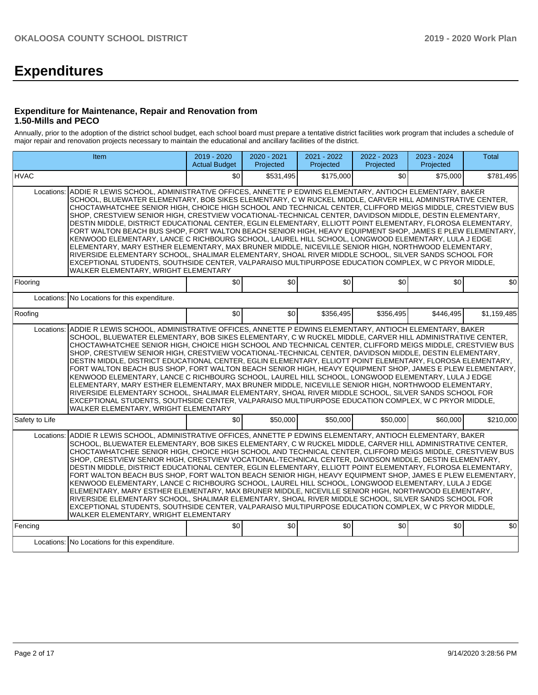# **Expenditures**

### **Expenditure for Maintenance, Repair and Renovation from 1.50-Mills and PECO**

Annually, prior to the adoption of the district school budget, each school board must prepare a tentative district facilities work program that includes a schedule of major repair and renovation projects necessary to maintain the educational and ancillary facilities of the district.

|                                                                                                                                                                                                                                                                                                                                                                                                                                                                                                                                                                                                                                                                                                                                                                                                                                                                                                                                                                                                                                                                                                                                                          | <b>Item</b>                                                                                                                                                                                                                                                                                                                                                                                                                                                                                                                                                                                                                                                                                                                                                                                                                                                                                                                                                                                                                                                                                                                                | 2019 - 2020<br><b>Actual Budget</b> | 2020 - 2021<br>Projected | 2021 - 2022<br>Projected | 2022 - 2023<br>Projected | 2023 - 2024<br>Projected | <b>Total</b> |  |  |  |  |
|----------------------------------------------------------------------------------------------------------------------------------------------------------------------------------------------------------------------------------------------------------------------------------------------------------------------------------------------------------------------------------------------------------------------------------------------------------------------------------------------------------------------------------------------------------------------------------------------------------------------------------------------------------------------------------------------------------------------------------------------------------------------------------------------------------------------------------------------------------------------------------------------------------------------------------------------------------------------------------------------------------------------------------------------------------------------------------------------------------------------------------------------------------|--------------------------------------------------------------------------------------------------------------------------------------------------------------------------------------------------------------------------------------------------------------------------------------------------------------------------------------------------------------------------------------------------------------------------------------------------------------------------------------------------------------------------------------------------------------------------------------------------------------------------------------------------------------------------------------------------------------------------------------------------------------------------------------------------------------------------------------------------------------------------------------------------------------------------------------------------------------------------------------------------------------------------------------------------------------------------------------------------------------------------------------------|-------------------------------------|--------------------------|--------------------------|--------------------------|--------------------------|--------------|--|--|--|--|
| <b>HVAC</b>                                                                                                                                                                                                                                                                                                                                                                                                                                                                                                                                                                                                                                                                                                                                                                                                                                                                                                                                                                                                                                                                                                                                              |                                                                                                                                                                                                                                                                                                                                                                                                                                                                                                                                                                                                                                                                                                                                                                                                                                                                                                                                                                                                                                                                                                                                            | \$0                                 | \$531,495                | \$175,000                | \$0                      | \$75,000                 | \$781,495    |  |  |  |  |
| ADDIE R LEWIS SCHOOL, ADMINISTRATIVE OFFICES, ANNETTE P EDWINS ELEMENTARY, ANTIOCH ELEMENTARY, BAKER<br>Locations:<br>SCHOOL, BLUEWATER ELEMENTARY, BOB SIKES ELEMENTARY, C W RUCKEL MIDDLE, CARVER HILL ADMINISTRATIVE CENTER,<br>CHOCTAWHATCHEE SENIOR HIGH, CHOICE HIGH SCHOOL AND TECHNICAL CENTER, CLIFFORD MEIGS MIDDLE, CRESTVIEW BUS<br>SHOP, CRESTVIEW SENIOR HIGH, CRESTVIEW VOCATIONAL-TECHNICAL CENTER, DAVIDSON MIDDLE, DESTIN ELEMENTARY,<br>DESTIN MIDDLE, DISTRICT EDUCATIONAL CENTER, EGLIN ELEMENTARY, ELLIOTT POINT ELEMENTARY, FLOROSA ELEMENTARY,<br>FORT WALTON BEACH BUS SHOP, FORT WALTON BEACH SENIOR HIGH, HEAVY EQUIPMENT SHOP, JAMES E PLEW ELEMENTARY,<br>KENWOOD ELEMENTARY, LANCE C RICHBOURG SCHOOL, LAUREL HILL SCHOOL, LONGWOOD ELEMENTARY, LULA J EDGE<br>ELEMENTARY, MARY ESTHER ELEMENTARY, MAX BRUNER MIDDLE, NICEVILLE SENIOR HIGH, NORTHWOOD ELEMENTARY,<br>RIVERSIDE ELEMENTARY SCHOOL, SHALIMAR ELEMENTARY, SHOAL RIVER MIDDLE SCHOOL, SILVER SANDS SCHOOL FOR<br>EXCEPTIONAL STUDENTS, SOUTHSIDE CENTER, VALPARAISO MULTIPURPOSE EDUCATION COMPLEX, W C PRYOR MIDDLE,<br>WALKER ELEMENTARY, WRIGHT ELEMENTARY |                                                                                                                                                                                                                                                                                                                                                                                                                                                                                                                                                                                                                                                                                                                                                                                                                                                                                                                                                                                                                                                                                                                                            |                                     |                          |                          |                          |                          |              |  |  |  |  |
| Flooring                                                                                                                                                                                                                                                                                                                                                                                                                                                                                                                                                                                                                                                                                                                                                                                                                                                                                                                                                                                                                                                                                                                                                 |                                                                                                                                                                                                                                                                                                                                                                                                                                                                                                                                                                                                                                                                                                                                                                                                                                                                                                                                                                                                                                                                                                                                            | \$0                                 | \$0                      | \$0                      | \$0                      | \$0                      | \$0          |  |  |  |  |
| Locations:<br>No Locations for this expenditure.                                                                                                                                                                                                                                                                                                                                                                                                                                                                                                                                                                                                                                                                                                                                                                                                                                                                                                                                                                                                                                                                                                         |                                                                                                                                                                                                                                                                                                                                                                                                                                                                                                                                                                                                                                                                                                                                                                                                                                                                                                                                                                                                                                                                                                                                            |                                     |                          |                          |                          |                          |              |  |  |  |  |
| Roofing                                                                                                                                                                                                                                                                                                                                                                                                                                                                                                                                                                                                                                                                                                                                                                                                                                                                                                                                                                                                                                                                                                                                                  |                                                                                                                                                                                                                                                                                                                                                                                                                                                                                                                                                                                                                                                                                                                                                                                                                                                                                                                                                                                                                                                                                                                                            | \$0                                 | \$0                      | \$356,495                | \$356,495                | \$446,495                | \$1,159,485  |  |  |  |  |
| Locations:                                                                                                                                                                                                                                                                                                                                                                                                                                                                                                                                                                                                                                                                                                                                                                                                                                                                                                                                                                                                                                                                                                                                               | ADDIE R LEWIS SCHOOL, ADMINISTRATIVE OFFICES, ANNETTE P EDWINS ELEMENTARY, ANTIOCH ELEMENTARY, BAKER<br>SCHOOL, BLUEWATER ELEMENTARY, BOB SIKES ELEMENTARY, C W RUCKEL MIDDLE, CARVER HILL ADMINISTRATIVE CENTER,<br>CHOCTAWHATCHEE SENIOR HIGH. CHOICE HIGH SCHOOL AND TECHNICAL CENTER. CLIFFORD MEIGS MIDDLE. CRESTVIEW BUS<br>SHOP, CRESTVIEW SENIOR HIGH, CRESTVIEW VOCATIONAL-TECHNICAL CENTER, DAVIDSON MIDDLE, DESTIN ELEMENTARY,<br>DESTIN MIDDLE, DISTRICT EDUCATIONAL CENTER, EGLIN ELEMENTARY, ELLIOTT POINT ELEMENTARY, FLOROSA ELEMENTARY,<br>FORT WALTON BEACH BUS SHOP, FORT WALTON BEACH SENIOR HIGH, HEAVY EQUIPMENT SHOP, JAMES E PLEW ELEMENTARY,<br>KENWOOD ELEMENTARY, LANCE C RICHBOURG SCHOOL, LAUREL HILL SCHOOL, LONGWOOD ELEMENTARY, LULA J EDGE<br>ELEMENTARY, MARY ESTHER ELEMENTARY, MAX BRUNER MIDDLE, NICEVILLE SENIOR HIGH, NORTHWOOD ELEMENTARY,<br>RIVERSIDE ELEMENTARY SCHOOL, SHALIMAR ELEMENTARY, SHOAL RIVER MIDDLE SCHOOL, SILVER SANDS SCHOOL FOR<br>EXCEPTIONAL STUDENTS, SOUTHSIDE CENTER, VALPARAISO MULTIPURPOSE EDUCATION COMPLEX, W C PRYOR MIDDLE,<br>WALKER ELEMENTARY, WRIGHT ELEMENTARY |                                     |                          |                          |                          |                          |              |  |  |  |  |
| Safety to Life                                                                                                                                                                                                                                                                                                                                                                                                                                                                                                                                                                                                                                                                                                                                                                                                                                                                                                                                                                                                                                                                                                                                           |                                                                                                                                                                                                                                                                                                                                                                                                                                                                                                                                                                                                                                                                                                                                                                                                                                                                                                                                                                                                                                                                                                                                            | \$0                                 | \$50,000                 | \$50,000                 | \$50,000                 | \$60,000                 | \$210,000    |  |  |  |  |
| Locations:                                                                                                                                                                                                                                                                                                                                                                                                                                                                                                                                                                                                                                                                                                                                                                                                                                                                                                                                                                                                                                                                                                                                               | ADDIE R LEWIS SCHOOL, ADMINISTRATIVE OFFICES, ANNETTE P EDWINS ELEMENTARY, ANTIOCH ELEMENTARY, BAKER<br>SCHOOL, BLUEWATER ELEMENTARY, BOB SIKES ELEMENTARY, C W RUCKEL MIDDLE, CARVER HILL ADMINISTRATIVE CENTER,<br>CHOCTAWHATCHEE SENIOR HIGH, CHOICE HIGH SCHOOL AND TECHNICAL CENTER, CLIFFORD MEIGS MIDDLE, CRESTVIEW BUS<br>SHOP, CRESTVIEW SENIOR HIGH, CRESTVIEW VOCATIONAL-TECHNICAL CENTER, DAVIDSON MIDDLE, DESTIN ELEMENTARY,<br>DESTIN MIDDLE, DISTRICT EDUCATIONAL CENTER, EGLIN ELEMENTARY, ELLIOTT POINT ELEMENTARY, FLOROSA ELEMENTARY,<br>FORT WALTON BEACH BUS SHOP, FORT WALTON BEACH SENIOR HIGH, HEAVY EQUIPMENT SHOP, JAMES E PLEW ELEMENTARY,<br>KENWOOD ELEMENTARY, LANCE C RICHBOURG SCHOOL, LAUREL HILL SCHOOL, LONGWOOD ELEMENTARY, LULA J EDGE<br>ELEMENTARY, MARY ESTHER ELEMENTARY, MAX BRUNER MIDDLE, NICEVILLE SENIOR HIGH, NORTHWOOD ELEMENTARY,<br>RIVERSIDE ELEMENTARY SCHOOL, SHALIMAR ELEMENTARY, SHOAL RIVER MIDDLE SCHOOL, SILVER SANDS SCHOOL FOR<br>EXCEPTIONAL STUDENTS, SOUTHSIDE CENTER, VALPARAISO MULTIPURPOSE EDUCATION COMPLEX, W C PRYOR MIDDLE,<br>WALKER ELEMENTARY, WRIGHT ELEMENTARY |                                     |                          |                          |                          |                          |              |  |  |  |  |
| Fencing                                                                                                                                                                                                                                                                                                                                                                                                                                                                                                                                                                                                                                                                                                                                                                                                                                                                                                                                                                                                                                                                                                                                                  |                                                                                                                                                                                                                                                                                                                                                                                                                                                                                                                                                                                                                                                                                                                                                                                                                                                                                                                                                                                                                                                                                                                                            | \$0                                 | \$0                      | \$0                      | \$0                      | \$0                      | \$0          |  |  |  |  |
|                                                                                                                                                                                                                                                                                                                                                                                                                                                                                                                                                                                                                                                                                                                                                                                                                                                                                                                                                                                                                                                                                                                                                          | Locations: No Locations for this expenditure.                                                                                                                                                                                                                                                                                                                                                                                                                                                                                                                                                                                                                                                                                                                                                                                                                                                                                                                                                                                                                                                                                              |                                     |                          |                          |                          |                          |              |  |  |  |  |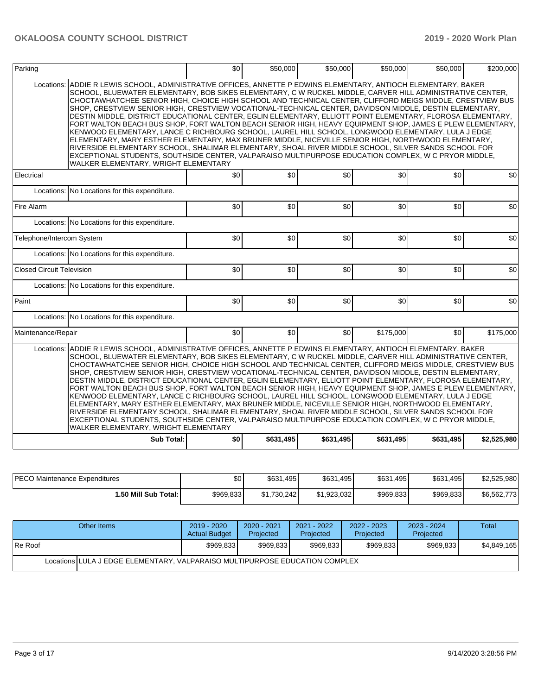| Parking                          |                                                                                                                                                                                                                                                                                                                                                                                                                                                                                                                                                                                                                                                                                                                                                                                                                                                                                                                                                                                                                                                                                                                                            | \$0 | \$50,000  | \$50,000  | \$50,000         | \$50,000  | \$200,000   |
|----------------------------------|--------------------------------------------------------------------------------------------------------------------------------------------------------------------------------------------------------------------------------------------------------------------------------------------------------------------------------------------------------------------------------------------------------------------------------------------------------------------------------------------------------------------------------------------------------------------------------------------------------------------------------------------------------------------------------------------------------------------------------------------------------------------------------------------------------------------------------------------------------------------------------------------------------------------------------------------------------------------------------------------------------------------------------------------------------------------------------------------------------------------------------------------|-----|-----------|-----------|------------------|-----------|-------------|
| Locations:                       | ADDIE R LEWIS SCHOOL, ADMINISTRATIVE OFFICES, ANNETTE P EDWINS ELEMENTARY, ANTIOCH ELEMENTARY, BAKER<br>SCHOOL, BLUEWATER ELEMENTARY, BOB SIKES ELEMENTARY, C W RUCKEL MIDDLE, CARVER HILL ADMINISTRATIVE CENTER,<br>CHOCTAWHATCHEE SENIOR HIGH, CHOICE HIGH SCHOOL AND TECHNICAL CENTER, CLIFFORD MEIGS MIDDLE, CRESTVIEW BUS<br>SHOP, CRESTVIEW SENIOR HIGH, CRESTVIEW VOCATIONAL-TECHNICAL CENTER, DAVIDSON MIDDLE, DESTIN ELEMENTARY,<br>DESTIN MIDDLE, DISTRICT EDUCATIONAL CENTER, EGLIN ELEMENTARY, ELLIOTT POINT ELEMENTARY, FLOROSA ELEMENTARY,<br>FORT WALTON BEACH BUS SHOP, FORT WALTON BEACH SENIOR HIGH, HEAVY EQUIPMENT SHOP, JAMES E PLEW ELEMENTARY,<br>KENWOOD ELEMENTARY, LANCE C RICHBOURG SCHOOL, LAUREL HILL SCHOOL, LONGWOOD ELEMENTARY, LULA J EDGE<br>ELEMENTARY, MARY ESTHER ELEMENTARY, MAX BRUNER MIDDLE, NICEVILLE SENIOR HIGH, NORTHWOOD ELEMENTARY,<br>RIVERSIDE ELEMENTARY SCHOOL, SHALIMAR ELEMENTARY, SHOAL RIVER MIDDLE SCHOOL, SILVER SANDS SCHOOL FOR<br>EXCEPTIONAL STUDENTS, SOUTHSIDE CENTER, VALPARAISO MULTIPURPOSE EDUCATION COMPLEX, W C PRYOR MIDDLE,<br>WALKER ELEMENTARY, WRIGHT ELEMENTARY |     |           |           |                  |           |             |
| Electrical                       |                                                                                                                                                                                                                                                                                                                                                                                                                                                                                                                                                                                                                                                                                                                                                                                                                                                                                                                                                                                                                                                                                                                                            | \$0 | \$0       | \$0       | \$0              | \$0       | \$0         |
|                                  | Locations: No Locations for this expenditure.                                                                                                                                                                                                                                                                                                                                                                                                                                                                                                                                                                                                                                                                                                                                                                                                                                                                                                                                                                                                                                                                                              |     |           |           |                  |           |             |
| Fire Alarm                       |                                                                                                                                                                                                                                                                                                                                                                                                                                                                                                                                                                                                                                                                                                                                                                                                                                                                                                                                                                                                                                                                                                                                            | \$0 | \$0       | \$0       | \$0 <sub>1</sub> | \$0       | \$0         |
|                                  | Locations: No Locations for this expenditure.                                                                                                                                                                                                                                                                                                                                                                                                                                                                                                                                                                                                                                                                                                                                                                                                                                                                                                                                                                                                                                                                                              |     |           |           |                  |           |             |
| Telephone/Intercom System        |                                                                                                                                                                                                                                                                                                                                                                                                                                                                                                                                                                                                                                                                                                                                                                                                                                                                                                                                                                                                                                                                                                                                            | \$0 | \$0       | \$0       | \$0 <sub>1</sub> | \$0       | \$0         |
|                                  | Locations: No Locations for this expenditure.                                                                                                                                                                                                                                                                                                                                                                                                                                                                                                                                                                                                                                                                                                                                                                                                                                                                                                                                                                                                                                                                                              |     |           |           |                  |           |             |
| <b>Closed Circuit Television</b> |                                                                                                                                                                                                                                                                                                                                                                                                                                                                                                                                                                                                                                                                                                                                                                                                                                                                                                                                                                                                                                                                                                                                            | \$0 | \$0       | \$0       | \$0 <sub>1</sub> | \$0       | \$0         |
|                                  | Locations: No Locations for this expenditure.                                                                                                                                                                                                                                                                                                                                                                                                                                                                                                                                                                                                                                                                                                                                                                                                                                                                                                                                                                                                                                                                                              |     |           |           |                  |           |             |
| Paint                            |                                                                                                                                                                                                                                                                                                                                                                                                                                                                                                                                                                                                                                                                                                                                                                                                                                                                                                                                                                                                                                                                                                                                            | \$0 | \$0       | \$0       | \$0              | \$0       | \$0         |
|                                  | Locations: No Locations for this expenditure.                                                                                                                                                                                                                                                                                                                                                                                                                                                                                                                                                                                                                                                                                                                                                                                                                                                                                                                                                                                                                                                                                              |     |           |           |                  |           |             |
| Maintenance/Repair               |                                                                                                                                                                                                                                                                                                                                                                                                                                                                                                                                                                                                                                                                                                                                                                                                                                                                                                                                                                                                                                                                                                                                            | \$0 | \$0       | \$0       | \$175,000        | \$0       | \$175,000   |
| Locations:                       | ADDIE R LEWIS SCHOOL, ADMINISTRATIVE OFFICES, ANNETTE P EDWINS ELEMENTARY, ANTIOCH ELEMENTARY, BAKER<br>SCHOOL, BLUEWATER ELEMENTARY, BOB SIKES ELEMENTARY, C W RUCKEL MIDDLE, CARVER HILL ADMINISTRATIVE CENTER,<br>CHOCTAWHATCHEE SENIOR HIGH, CHOICE HIGH SCHOOL AND TECHNICAL CENTER, CLIFFORD MEIGS MIDDLE, CRESTVIEW BUS<br>SHOP, CRESTVIEW SENIOR HIGH, CRESTVIEW VOCATIONAL-TECHNICAL CENTER, DAVIDSON MIDDLE, DESTIN ELEMENTARY,<br>DESTIN MIDDLE, DISTRICT EDUCATIONAL CENTER, EGLIN ELEMENTARY, ELLIOTT POINT ELEMENTARY, FLOROSA ELEMENTARY,<br>FORT WALTON BEACH BUS SHOP, FORT WALTON BEACH SENIOR HIGH, HEAVY EQUIPMENT SHOP, JAMES E PLEW ELEMENTARY,<br>KENWOOD ELEMENTARY, LANCE C RICHBOURG SCHOOL, LAUREL HILL SCHOOL, LONGWOOD ELEMENTARY, LULA J EDGE<br>ELEMENTARY, MARY ESTHER ELEMENTARY, MAX BRUNER MIDDLE, NICEVILLE SENIOR HIGH, NORTHWOOD ELEMENTARY,<br>RIVERSIDE ELEMENTARY SCHOOL, SHALIMAR ELEMENTARY, SHOAL RIVER MIDDLE SCHOOL, SILVER SANDS SCHOOL FOR<br>EXCEPTIONAL STUDENTS, SOUTHSIDE CENTER, VALPARAISO MULTIPURPOSE EDUCATION COMPLEX, W C PRYOR MIDDLE,<br>WALKER ELEMENTARY, WRIGHT ELEMENTARY |     |           |           |                  |           |             |
|                                  | <b>Sub Total:</b>                                                                                                                                                                                                                                                                                                                                                                                                                                                                                                                                                                                                                                                                                                                                                                                                                                                                                                                                                                                                                                                                                                                          | \$0 | \$631,495 | \$631,495 | \$631,495        | \$631,495 | \$2,525,980 |

| <b>IPECO Maintenance Expenditures</b> | ጣጣ<br>ъU. | \$631<br>ا 495. | \$631<br>.4951 | \$631,495 | \$631,495 | \$2.525.980        |
|---------------------------------------|-----------|-----------------|----------------|-----------|-----------|--------------------|
| I.50 Mill Sub Total: I                | \$969,833 | \$1,730,242     | \$1.923.032    | \$969,833 | \$969.833 | \$6,562,773<br>. J |

| Other Items                                                                 | 2019 - 2020<br><b>Actual Budget</b> | $2020 - 2021$<br>Projected | 2021 - 2022<br>Projected | 2022 - 2023<br>Projected | 2023 - 2024<br>Projected | Total       |  |  |  |
|-----------------------------------------------------------------------------|-------------------------------------|----------------------------|--------------------------|--------------------------|--------------------------|-------------|--|--|--|
| IRe Roof                                                                    | \$969.833                           | \$969.833                  | \$969.833                | \$969.833                | \$969.833                | \$4.849.165 |  |  |  |
| Locations LULA J EDGE ELEMENTARY. VALPARAISO MULTIPURPOSE EDUCATION COMPLEX |                                     |                            |                          |                          |                          |             |  |  |  |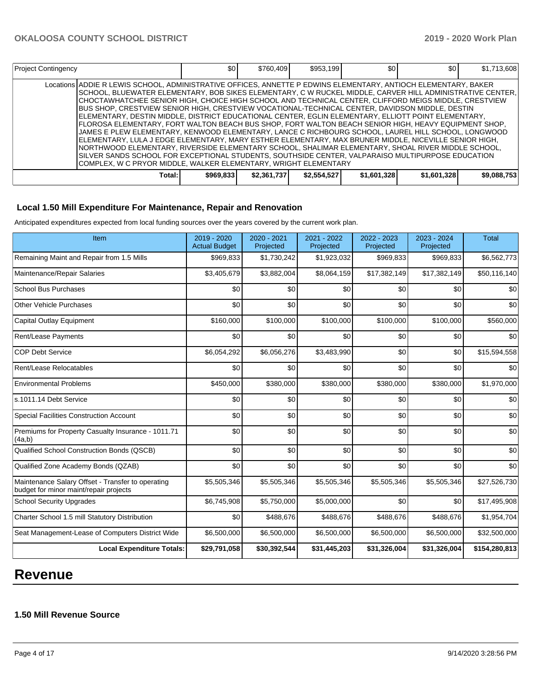| <b>Project Contingency</b>                                                                                                                                                                                                                                                                                                                                                                                                                                                                                                                                                                                                                                                                                                                                                                                                                                                                                                                                                                                                                                                                                                                                | \$0 <sub>1</sub> | \$760,409   | \$953,199   | \$0 <sub>1</sub> | \$0 <sub>1</sub> | \$1,713,608 |
|-----------------------------------------------------------------------------------------------------------------------------------------------------------------------------------------------------------------------------------------------------------------------------------------------------------------------------------------------------------------------------------------------------------------------------------------------------------------------------------------------------------------------------------------------------------------------------------------------------------------------------------------------------------------------------------------------------------------------------------------------------------------------------------------------------------------------------------------------------------------------------------------------------------------------------------------------------------------------------------------------------------------------------------------------------------------------------------------------------------------------------------------------------------|------------------|-------------|-------------|------------------|------------------|-------------|
| Locations ADDIE R LEWIS SCHOOL, ADMINISTRATIVE OFFICES, ANNETTE P EDWINS ELEMENTARY, ANTIOCH ELEMENTARY, BAKER<br> SCHOOL, BLUEWATER ELEMENTARY, BOB SIKES ELEMENTARY, C W RUCKEL MIDDLE, CARVER HILL ADMINISTRATIVE CENTER,  <br>CHOCTAWHATCHEE SENIOR HIGH, CHOICE HIGH SCHOOL AND TECHNICAL CENTER, CLIFFORD MEIGS MIDDLE, CRESTVIEW<br>IBUS SHOP. CRESTVIEW SENIOR HIGH. CRESTVIEW VOCATIONAL-TECHNICAL CENTER. DAVIDSON MIDDLE. DESTIN<br>ELEMENTARY, DESTIN MIDDLE, DISTRICT EDUCATIONAL CENTER, EGLIN ELEMENTARY, ELLIOTT POINT ELEMENTARY,<br>FLOROSA ELEMENTARY, FORT WALTON BEACH BUS SHOP, FORT WALTON BEACH SENIOR HIGH, HEAVY EQUIPMENT SHOP,<br>JAMES E PLEW ELEMENTARY, KENWOOD ELEMENTARY, LANCE C RICHBOURG SCHOOL, LAUREL HILL SCHOOL, LONGWOOD<br>ELEMENTARY, LULA J EDGE ELEMENTARY, MARY ESTHER ELEMENTARY, MAX BRUNER MIDDLE, NICEVILLE SENIOR HIGH,<br>NORTHWOOD ELEMENTARY, RIVERSIDE ELEMENTARY SCHOOL, SHALIMAR ELEMENTARY, SHOAL RIVER MIDDLE SCHOOL,<br>ISILVER SANDS SCHOOL FOR EXCEPTIONAL STUDENTS. SOUTHSIDE CENTER. VALPARAISO MULTIPURPOSE EDUCATION<br>COMPLEX, W C PRYOR MIDDLE, WALKER ELEMENTARY, WRIGHT ELEMENTARY |                  |             |             |                  |                  |             |
| Total:                                                                                                                                                                                                                                                                                                                                                                                                                                                                                                                                                                                                                                                                                                                                                                                                                                                                                                                                                                                                                                                                                                                                                    | \$969,833        | \$2,361,737 | \$2,554,527 | \$1,601,328      | \$1,601,328      | \$9,088,753 |

# **Local 1.50 Mill Expenditure For Maintenance, Repair and Renovation**

Anticipated expenditures expected from local funding sources over the years covered by the current work plan.

| Item                                                                                        | 2019 - 2020<br><b>Actual Budget</b> | 2020 - 2021<br>Projected | 2021 - 2022<br>Projected | 2022 - 2023<br>Projected | 2023 - 2024<br>Projected | <b>Total</b>  |
|---------------------------------------------------------------------------------------------|-------------------------------------|--------------------------|--------------------------|--------------------------|--------------------------|---------------|
| Remaining Maint and Repair from 1.5 Mills                                                   | \$969,833                           | \$1,730,242              | \$1,923,032              | \$969,833                | \$969,833                | \$6,562,773   |
| Maintenance/Repair Salaries                                                                 | \$3,405,679                         | \$3,882,004              | \$8,064,159              | \$17,382,149             | \$17,382,149             | \$50,116,140  |
| <b>School Bus Purchases</b>                                                                 | \$0                                 | \$0                      | \$0                      | \$0                      | \$0                      | \$0           |
| <b>Other Vehicle Purchases</b>                                                              | \$0                                 | \$0                      | \$0                      | \$0                      | \$0                      | \$0           |
| Capital Outlay Equipment                                                                    | \$160,000                           | \$100,000                | \$100,000                | \$100,000                | \$100,000                | \$560,000     |
| Rent/Lease Payments                                                                         | \$0                                 | \$0                      | \$0                      | \$0                      | \$0                      | \$0           |
| <b>COP Debt Service</b>                                                                     | \$6,054,292                         | \$6,056,276              | \$3,483,990              | \$0                      | \$0                      | \$15,594,558  |
| Rent/Lease Relocatables                                                                     | \$0                                 | \$0                      | \$0                      | \$0                      | \$0                      | \$0           |
| <b>Environmental Problems</b>                                                               | \$450,000                           | \$380,000                | \$380,000                | \$380,000                | \$380,000                | \$1,970,000   |
| s.1011.14 Debt Service                                                                      | \$0                                 | \$0                      | \$0                      | \$0                      | \$0                      | \$0           |
| <b>Special Facilities Construction Account</b>                                              | \$0                                 | \$0                      | \$0                      | \$0                      | \$0                      | \$0           |
| Premiums for Property Casualty Insurance - 1011.71<br>(4a,b)                                | \$0                                 | \$0                      | \$0                      | \$0                      | \$0                      | \$0           |
| Qualified School Construction Bonds (QSCB)                                                  | \$0                                 | \$0                      | \$0                      | \$0                      | \$0                      | \$0           |
| Qualified Zone Academy Bonds (QZAB)                                                         | \$0                                 | \$0                      | \$0                      | \$0                      | \$0                      | \$0           |
| Maintenance Salary Offset - Transfer to operating<br>budget for minor maint/repair projects | \$5,505,346                         | \$5,505,346              | \$5,505,346              | \$5,505,346              | \$5,505,346              | \$27,526,730  |
| <b>School Security Upgrades</b>                                                             | \$6,745,908                         | \$5,750,000              | \$5,000,000              | \$0                      | \$0                      | \$17,495,908  |
| Charter School 1.5 mill Statutory Distribution                                              | \$0                                 | \$488,676                | \$488,676                | \$488,676                | \$488,676                | \$1,954,704   |
| Seat Management-Lease of Computers District Wide                                            | \$6,500,000                         | \$6,500,000              | \$6,500,000              | \$6,500,000              | \$6,500,000              | \$32,500,000  |
| <b>Local Expenditure Totals:</b>                                                            | \$29,791,058                        | \$30,392,544             | \$31,445,203             | \$31,326,004             | \$31,326,004             | \$154,280,813 |

# **Revenue**

# **1.50 Mill Revenue Source**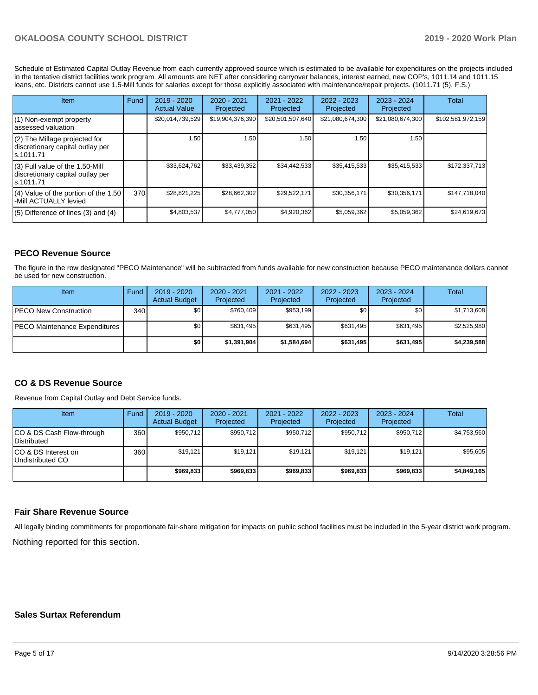Schedule of Estimated Capital Outlay Revenue from each currently approved source which is estimated to be available for expenditures on the projects included in the tentative district facilities work program. All amounts are NET after considering carryover balances, interest earned, new COP's, 1011.14 and 1011.15 loans, etc. Districts cannot use 1.5-Mill funds for salaries except for those explicitly associated with maintenance/repair projects. (1011.71 (5), F.S.)

| Item                                                                                | Fund | $2019 - 2020$<br><b>Actual Value</b> | $2020 - 2021$<br>Projected | $2021 - 2022$<br>Projected | $2022 - 2023$<br>Projected | $2023 - 2024$<br>Projected | Total             |
|-------------------------------------------------------------------------------------|------|--------------------------------------|----------------------------|----------------------------|----------------------------|----------------------------|-------------------|
| (1) Non-exempt property<br>lassessed valuation                                      |      | \$20,014,739,529                     | \$19,904,376,390           | \$20,501,507,640           | \$21,080,674,300           | \$21,080,674,300           | \$102,581,972,159 |
| $(2)$ The Millage projected for<br>discretionary capital outlay per<br>ls.1011.71   |      | 1.50                                 | 1.50                       | 1.50                       | 1.50                       | 1.50                       |                   |
| $(3)$ Full value of the 1.50-Mill<br>discretionary capital outlay per<br>ls.1011.71 |      | \$33,624,762                         | \$33,439,352               | \$34,442,533               | \$35,415,533               | \$35,415,533               | \$172,337,713     |
| $(4)$ Value of the portion of the 1.50<br>-Mill ACTUALLY levied                     | 370  | \$28,821,225                         | \$28.662.302               | \$29,522,171               | \$30.356.171               | \$30,356,171               | \$147.718.040     |
| $(5)$ Difference of lines (3) and (4)                                               |      | \$4,803,537                          | \$4,777,050                | \$4,920,362                | \$5,059,362                | \$5,059,362                | \$24,619,673      |

## **PECO Revenue Source**

The figure in the row designated "PECO Maintenance" will be subtracted from funds available for new construction because PECO maintenance dollars cannot be used for new construction.

| Item                                 | Fund         | $2019 - 2020$<br><b>Actual Budget</b> | $2020 - 2021$<br>Projected | 2021 - 2022<br>Projected | $2022 - 2023$<br>Projected | $2023 - 2024$<br>Projected | Total       |
|--------------------------------------|--------------|---------------------------------------|----------------------------|--------------------------|----------------------------|----------------------------|-------------|
| <b>IPECO New Construction</b>        | 340 <b>I</b> | \$0 <sub>1</sub>                      | \$760,409                  | \$953,199                | \$0                        | \$0 <sub>1</sub>           | \$1,713,608 |
| <b>PECO Maintenance Expenditures</b> |              | \$0 <sub>1</sub>                      | \$631.495                  | \$631.495                | \$631.495                  | \$631.495                  | \$2,525,980 |
|                                      |              | \$0                                   | \$1,391,904                | \$1,584.694              | \$631.495                  | \$631,495                  | \$4,239,588 |

### **CO & DS Revenue Source**

Revenue from Capital Outlay and Debt Service funds.

| <b>Item</b>                                     | Fund  | $2019 - 2020$<br><b>Actual Budget</b> | 2020 - 2021<br>Projected | 2021 - 2022<br>Projected | 2022 - 2023<br>Projected | 2023 - 2024<br>Projected | Total       |
|-------------------------------------------------|-------|---------------------------------------|--------------------------|--------------------------|--------------------------|--------------------------|-------------|
| CO & DS Cash Flow-through<br><b>Distributed</b> | 360 l | \$950,712                             | \$950,712                | \$950.712                | \$950.712                | \$950,712                | \$4,753,560 |
| CO & DS Interest on<br>Undistributed CO         | 360   | \$19.121                              | \$19.121                 | \$19.121                 | \$19.121                 | \$19.121                 | \$95,605    |
|                                                 |       | \$969,833                             | \$969.833                | \$969,833                | \$969.833                | \$969.833                | \$4,849,165 |

#### **Fair Share Revenue Source**

Nothing reported for this section. All legally binding commitments for proportionate fair-share mitigation for impacts on public school facilities must be included in the 5-year district work program.

## **Sales Surtax Referendum**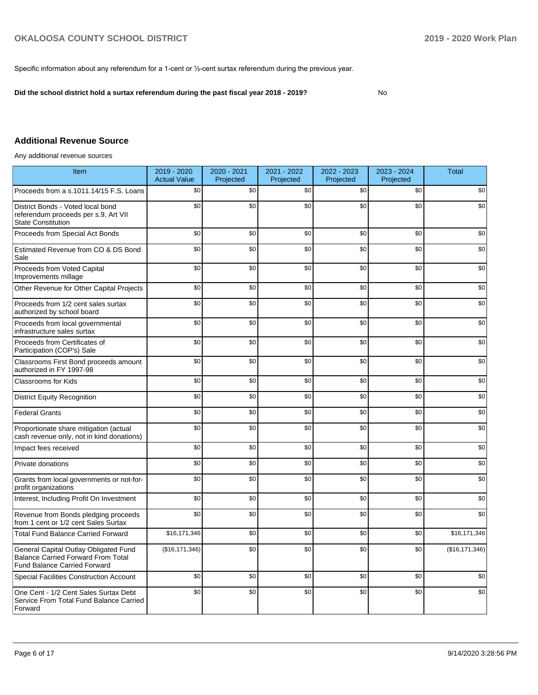Specific information about any referendum for a 1-cent or ½-cent surtax referendum during the previous year.

**Did the school district hold a surtax referendum during the past fiscal year 2018 - 2019?**

No

# **Additional Revenue Source**

Any additional revenue sources

| Item                                                                                                                      | 2019 - 2020<br><b>Actual Value</b> | 2020 - 2021<br>Projected | 2021 - 2022<br>Projected | 2022 - 2023<br>Projected | 2023 - 2024<br>Projected | <b>Total</b>     |
|---------------------------------------------------------------------------------------------------------------------------|------------------------------------|--------------------------|--------------------------|--------------------------|--------------------------|------------------|
| Proceeds from a s.1011.14/15 F.S. Loans                                                                                   | \$0                                | \$0                      | \$0                      | \$0                      | \$0                      | \$0              |
| District Bonds - Voted local bond<br>referendum proceeds per s.9, Art VII<br><b>State Constitution</b>                    | \$0                                | \$0                      | \$0                      | \$0                      | \$0                      | \$0              |
| Proceeds from Special Act Bonds                                                                                           | \$0                                | \$0                      | \$0                      | \$0                      | \$0                      | \$0              |
| Estimated Revenue from CO & DS Bond<br>Sale                                                                               | \$0                                | \$0                      | \$0                      | \$0                      | \$0                      | \$0              |
| Proceeds from Voted Capital<br>Improvements millage                                                                       | \$0                                | \$0                      | \$0                      | \$0                      | \$0                      | \$0              |
| Other Revenue for Other Capital Projects                                                                                  | \$0                                | \$0                      | \$0                      | \$0                      | \$0                      | \$0              |
| Proceeds from 1/2 cent sales surtax<br>authorized by school board                                                         | \$0                                | \$0                      | \$0                      | \$0                      | \$0                      | \$0              |
| Proceeds from local governmental<br>infrastructure sales surtax                                                           | \$0                                | \$0                      | \$0                      | \$0                      | \$0                      | \$0              |
| Proceeds from Certificates of<br>Participation (COP's) Sale                                                               | \$0                                | \$0                      | \$0                      | \$0                      | \$0                      | \$0              |
| Classrooms First Bond proceeds amount<br>authorized in FY 1997-98                                                         | \$0                                | \$0                      | \$0                      | \$0                      | \$0                      | \$0              |
| <b>Classrooms for Kids</b>                                                                                                | \$0                                | \$0                      | \$0                      | \$0                      | \$0                      | \$0              |
| <b>District Equity Recognition</b>                                                                                        | \$0                                | \$0                      | \$0                      | \$0                      | \$0                      | \$0              |
| <b>Federal Grants</b>                                                                                                     | \$0                                | \$0                      | \$0                      | \$0                      | \$0                      | \$0              |
| Proportionate share mitigation (actual<br>cash revenue only, not in kind donations)                                       | \$0                                | \$0                      | \$0                      | \$0                      | \$0                      | \$0              |
| Impact fees received                                                                                                      | \$0                                | \$0                      | \$0                      | \$0                      | \$0                      | \$0              |
| Private donations                                                                                                         | \$0                                | \$0                      | \$0                      | \$0                      | \$0                      | \$0              |
| Grants from local governments or not-for-<br>profit organizations                                                         | \$0                                | \$0                      | \$0                      | \$0                      | \$0                      | \$0              |
| Interest, Including Profit On Investment                                                                                  | \$0                                | \$0                      | \$0                      | \$0                      | \$0                      | \$0              |
| Revenue from Bonds pledging proceeds<br>from 1 cent or 1/2 cent Sales Surtax                                              | \$0                                | \$0                      | \$0                      | \$0                      | \$0                      | \$0              |
| <b>Total Fund Balance Carried Forward</b>                                                                                 | \$16,171,346                       | \$0                      | \$0                      | \$0                      | \$0                      | \$16,171,346     |
| General Capital Outlay Obligated Fund<br><b>Balance Carried Forward From Total</b><br><b>Fund Balance Carried Forward</b> | (\$16, 171, 346)                   | \$0                      | \$0                      | \$0                      | \$0                      | (\$16, 171, 346) |
| <b>Special Facilities Construction Account</b>                                                                            | \$0                                | \$0                      | \$0                      | \$0                      | \$0                      | \$0              |
| One Cent - 1/2 Cent Sales Surtax Debt<br>Service From Total Fund Balance Carried<br>Forward                               | \$0                                | \$0                      | \$0                      | \$0                      | \$0                      | \$0              |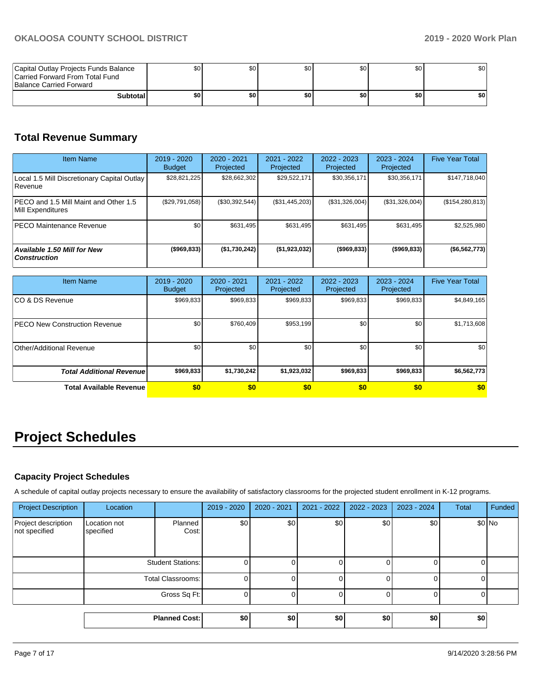| Capital Outlay Projects Funds Balance<br>Carried Forward From Total Fund<br>Balance Carried Forward | \$0 I | υU  | \$0 | \$0 | \$0 | \$0 |
|-----------------------------------------------------------------------------------------------------|-------|-----|-----|-----|-----|-----|
| <b>Subtotal</b>                                                                                     | ا 30  | \$0 | \$0 | \$0 | \$0 | \$0 |

# **Total Revenue Summary**

| <b>Item Name</b>                                                   | 2019 - 2020<br><b>Budget</b> | 2020 - 2021<br>Projected | 2021 - 2022<br>Projected | $2022 - 2023$<br>Projected | $2023 - 2024$<br>Projected | <b>Five Year Total</b> |
|--------------------------------------------------------------------|------------------------------|--------------------------|--------------------------|----------------------------|----------------------------|------------------------|
| Local 1.5 Mill Discretionary Capital Outlay<br>l Revenue           | \$28,821,225                 | \$28,662,302             | \$29,522,171             | \$30,356,171               | \$30,356,171               | \$147,718,040          |
| <b>IPECO and 1.5 Mill Maint and Other 1.5</b><br>Mill Expenditures | (S29,791,058)                | (\$30,392,544)           | (\$31,445,203)           | (\$31,326,004)             | (\$31,326,004)             | (\$154, 280, 813)      |
| IPECO Maintenance Revenue                                          | \$0                          | \$631,495                | \$631,495                | \$631.495                  | \$631,495                  | \$2,525,980            |
| Available 1.50 Mill for New<br><b>Construction</b>                 | ( \$969, 833)                | (\$1,730,242)            | (\$1,923,032)            | (\$969,833)                | ( \$969, 833)              | ( \$6,562,773]         |

| <b>Item Name</b>                      | $2019 - 2020$<br><b>Budget</b> | 2020 - 2021<br>Projected | $2021 - 2022$<br>Projected | 2022 - 2023<br>Projected | $2023 - 2024$<br>Projected | <b>Five Year Total</b> |
|---------------------------------------|--------------------------------|--------------------------|----------------------------|--------------------------|----------------------------|------------------------|
| ICO & DS Revenue                      | \$969,833                      | \$969,833                | \$969,833                  | \$969,833                | \$969,833                  | \$4,849,165            |
| <b>IPECO New Construction Revenue</b> | \$0                            | \$760.409                | \$953,199                  | \$0                      | \$0 <sub>1</sub>           | \$1,713,608            |
| Other/Additional Revenue              | \$0                            | \$0 <sub>1</sub>         | \$0                        | \$0                      | \$0                        | \$0                    |
| <b>Total Additional Revenue</b>       | \$969,833                      | \$1,730,242              | \$1,923,032                | \$969,833                | \$969,833                  | \$6,562,773            |
| <b>Total Available Revenue</b>        | \$0                            | \$0                      | \$0                        | \$0                      | \$0                        | \$0                    |

# **Project Schedules**

# **Capacity Project Schedules**

A schedule of capital outlay projects necessary to ensure the availability of satisfactory classrooms for the projected student enrollment in K-12 programs.

| <b>Project Description</b>           | Location                  |                      | 2019 - 2020 | 2020 - 2021 | 2021 - 2022 | 2022 - 2023 | 2023 - 2024 | Total | Funded |
|--------------------------------------|---------------------------|----------------------|-------------|-------------|-------------|-------------|-------------|-------|--------|
| Project description<br>not specified | Location not<br>specified | Planned<br>Cost:     | \$0         | \$0         | \$0         | \$0         | \$0         |       | \$0 No |
|                                      | <b>Student Stations:</b>  |                      | 0           |             | 0           |             |             |       |        |
|                                      |                           | Total Classrooms:    |             |             | 0           |             |             |       |        |
|                                      |                           | Gross Sq Ft:         |             |             | 0           |             |             |       |        |
|                                      |                           |                      |             |             |             |             |             |       |        |
|                                      |                           | <b>Planned Cost:</b> | \$0         | \$0         | \$0         | \$0         | \$0         | \$0   |        |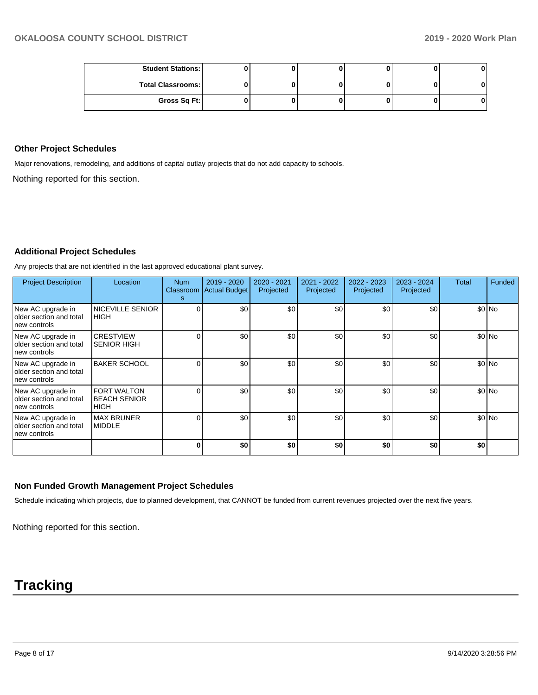| <b>Student Stations:</b> |  |  |  |
|--------------------------|--|--|--|
| <b>Total Classrooms:</b> |  |  |  |
| Gross Sq Ft:             |  |  |  |

#### **Other Project Schedules**

Major renovations, remodeling, and additions of capital outlay projects that do not add capacity to schools.

Nothing reported for this section.

## **Additional Project Schedules**

Any projects that are not identified in the last approved educational plant survey.

| <b>Project Description</b>                                   | Location                                          | <b>Num</b><br>s | $2019 - 2020$<br>Classroom Actual Budget | 2020 - 2021<br>Projected | 2021 - 2022<br>Projected | 2022 - 2023<br>Projected | 2023 - 2024<br>Projected | Total | Funded |
|--------------------------------------------------------------|---------------------------------------------------|-----------------|------------------------------------------|--------------------------|--------------------------|--------------------------|--------------------------|-------|--------|
| New AC upgrade in<br>older section and total<br>new controls | <b>NICEVILLE SENIOR</b><br><b>IHIGH</b>           |                 | \$0                                      | \$0                      | \$0                      | \$0                      | \$0                      |       | \$0 No |
| New AC upgrade in<br>older section and total<br>new controls | <b>CRESTVIEW</b><br><b>SENIOR HIGH</b>            |                 | \$0                                      | \$0                      | \$0                      | \$0                      | \$0                      |       | \$0 No |
| New AC upgrade in<br>older section and total<br>new controls | <b>BAKER SCHOOL</b>                               |                 | \$0                                      | \$0                      | \$0                      | \$0                      | \$0                      |       | \$0 No |
| New AC upgrade in<br>older section and total<br>new controls | <b>FORT WALTON</b><br><b>BEACH SENIOR</b><br>HIGH |                 | \$0                                      | \$0                      | \$0                      | \$0                      | \$0                      |       | \$0 No |
| New AC upgrade in<br>older section and total<br>new controls | <b>MAX BRUNER</b><br><b>MIDDLE</b>                |                 | \$0                                      | \$0                      | \$0                      | \$0                      | \$0                      |       | \$0 No |
|                                                              |                                                   |                 | \$0                                      | \$0                      | \$0                      | \$0                      | \$0                      | \$0   |        |

#### **Non Funded Growth Management Project Schedules**

Schedule indicating which projects, due to planned development, that CANNOT be funded from current revenues projected over the next five years.

Nothing reported for this section.

# **Tracking**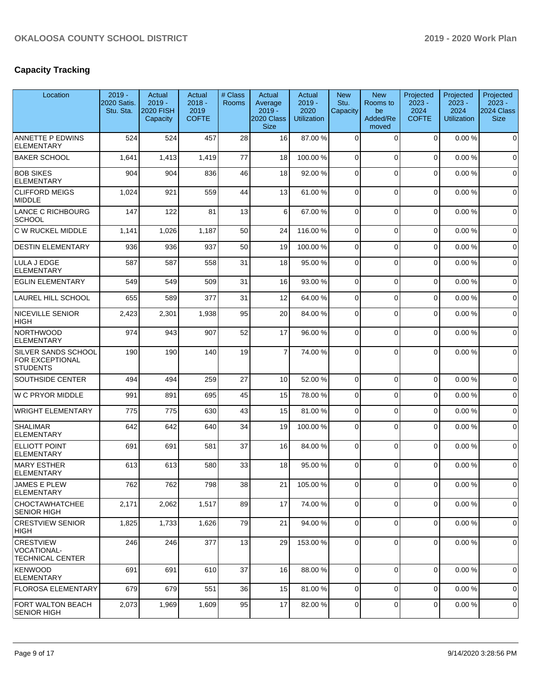# **Capacity Tracking**

| Location                                                          | $2019 -$<br>2020 Satis.<br>Stu. Sta. | Actual<br>$2019 -$<br><b>2020 FISH</b><br>Capacity | Actual<br>$2018 -$<br>2019<br><b>COFTE</b> | # Class<br><b>Rooms</b> | Actual<br>Average<br>$2019 -$<br>2020 Class<br><b>Size</b> | Actual<br>$2019 -$<br>2020<br><b>Utilization</b> | <b>New</b><br>Stu.<br>Capacity | <b>New</b><br>Rooms to<br>be<br>Added/Re<br>moved | Projected<br>$2023 -$<br>2024<br><b>COFTE</b> | Projected<br>$2023 -$<br>2024<br><b>Utilization</b> | Projected<br>$2023 -$<br>2024 Class<br><b>Size</b> |
|-------------------------------------------------------------------|--------------------------------------|----------------------------------------------------|--------------------------------------------|-------------------------|------------------------------------------------------------|--------------------------------------------------|--------------------------------|---------------------------------------------------|-----------------------------------------------|-----------------------------------------------------|----------------------------------------------------|
| <b>ANNETTE P EDWINS</b><br><b>ELEMENTARY</b>                      | 524                                  | 524                                                | 457                                        | 28                      | 16                                                         | 87.00 %                                          | $\Omega$                       | $\Omega$                                          | $\mathbf 0$                                   | 0.00%                                               | $\mathbf 0$                                        |
| <b>BAKER SCHOOL</b>                                               | 1,641                                | 1,413                                              | 1,419                                      | 77                      | 18                                                         | 100.00%                                          | 0                              | $\Omega$                                          | 0                                             | 0.00%                                               | 0                                                  |
| <b>BOB SIKES</b><br><b>ELEMENTARY</b>                             | 904                                  | 904                                                | 836                                        | 46                      | 18                                                         | 92.00 %                                          | 0                              | $\Omega$                                          | 0                                             | 0.00%                                               | $\mathbf 0$                                        |
| <b>CLIFFORD MEIGS</b><br><b>MIDDLE</b>                            | 1,024                                | 921                                                | 559                                        | 44                      | 13                                                         | 61.00%                                           | $\Omega$                       | $\Omega$                                          | 0                                             | 0.00%                                               | $\mathbf 0$                                        |
| LANCE C RICHBOURG<br><b>SCHOOL</b>                                | 147                                  | 122                                                | 81                                         | 13                      | 6                                                          | 67.00 %                                          | $\Omega$                       | $\Omega$                                          | $\Omega$                                      | 0.00%                                               | $\mathbf 0$                                        |
| C W RUCKEL MIDDLE                                                 | 1,141                                | 1,026                                              | 1,187                                      | 50                      | 24                                                         | 116.00%                                          | 0                              | $\Omega$                                          | 0                                             | 0.00%                                               | 0                                                  |
| <b>DESTIN ELEMENTARY</b>                                          | 936                                  | 936                                                | 937                                        | 50                      | 19                                                         | 100.00%                                          | 0                              | $\Omega$                                          | 0                                             | 0.00%                                               | $\mathbf 0$                                        |
| LULA J EDGE<br><b>ELEMENTARY</b>                                  | 587                                  | 587                                                | 558                                        | 31                      | 18                                                         | 95.00 %                                          | 0                              | $\Omega$                                          | 0                                             | 0.00%                                               | $\mathbf 0$                                        |
| <b>EGLIN ELEMENTARY</b>                                           | 549                                  | 549                                                | 509                                        | 31                      | 16                                                         | 93.00 %                                          | $\Omega$                       | $\Omega$                                          | 0                                             | 0.00%                                               | $\mathbf 0$                                        |
| <b>LAUREL HILL SCHOOL</b>                                         | 655                                  | 589                                                | 377                                        | 31                      | 12                                                         | 64.00%                                           | $\Omega$                       | $\Omega$                                          | 0                                             | 0.00%                                               | $\mathbf 0$                                        |
| <b>NICEVILLE SENIOR</b><br><b>HIGH</b>                            | 2,423                                | 2,301                                              | 1,938                                      | 95                      | 20                                                         | 84.00 %                                          | $\Omega$                       | $\Omega$                                          | 0                                             | 0.00%                                               | $\mathbf 0$                                        |
| <b>NORTHWOOD</b><br>ELEMENTARY                                    | 974                                  | 943                                                | 907                                        | 52                      | 17                                                         | 96.00 %                                          | $\Omega$                       | $\Omega$                                          | 0                                             | 0.00%                                               | $\mathbf 0$                                        |
| SILVER SANDS SCHOOL<br><b>FOR EXCEPTIONAL</b><br><b>STUDENTS</b>  | 190                                  | 190                                                | 140                                        | 19                      | 7                                                          | 74.00 %                                          | 0                              | $\Omega$                                          | 0                                             | 0.00%                                               | $\mathbf 0$                                        |
| <b>SOUTHSIDE CENTER</b>                                           | 494                                  | 494                                                | 259                                        | 27                      | 10                                                         | 52.00 %                                          | $\Omega$                       | $\Omega$                                          | $\Omega$                                      | 0.00%                                               | $\mathbf 0$                                        |
| <b>W C PRYOR MIDDLE</b>                                           | 991                                  | 891                                                | 695                                        | 45                      | 15                                                         | 78.00 %                                          | 0                              | $\Omega$                                          | 0                                             | 0.00%                                               | $\mathbf 0$                                        |
| <b>WRIGHT ELEMENTARY</b>                                          | 775                                  | 775                                                | 630                                        | 43                      | 15                                                         | 81.00%                                           | $\Omega$                       | $\Omega$                                          | 0                                             | 0.00%                                               | $\mathbf 0$                                        |
| <b>SHALIMAR</b><br><b>ELEMENTARY</b>                              | 642                                  | 642                                                | 640                                        | 34                      | 19                                                         | 100.00%                                          | 0                              | $\Omega$                                          | $\Omega$                                      | 0.00%                                               | $\mathbf 0$                                        |
| <b>ELLIOTT POINT</b><br><b>ELEMENTARY</b>                         | 691                                  | 691                                                | 581                                        | 37                      | 16                                                         | 84.00 %                                          | $\Omega$                       | $\Omega$                                          | 0                                             | 0.00%                                               | $\mathbf 0$                                        |
| MARY ESTHER<br><b>ELEMENTARY</b>                                  | 613                                  | 613                                                | 580                                        | 33                      | 18                                                         | 95.00 %                                          | 0                              | $\Omega$                                          | 0                                             | 0.00%                                               | $\mathbf 0$                                        |
| JAMES E PLEW<br><b>ELEMENTARY</b>                                 | 762                                  | 762                                                | 798                                        | 38                      | 21                                                         | 105.00 %                                         | $\overline{0}$                 | $\overline{0}$                                    | 0                                             | 0.00%                                               | 0                                                  |
| CHOCTAWHATCHEE<br><b>SENIOR HIGH</b>                              | 2,171                                | 2,062                                              | 1,517                                      | 89                      | 17                                                         | 74.00 %                                          | $\Omega$                       | $\Omega$                                          | 0                                             | 0.00%                                               | $\mathbf 0$                                        |
| <b>CRESTVIEW SENIOR</b><br> HIGH                                  | 1,825                                | 1,733                                              | 1,626                                      | 79                      | 21                                                         | 94.00 %                                          | $\mathbf 0$                    | $\mathbf 0$                                       | 0                                             | 0.00%                                               | 0                                                  |
| <b>CRESTVIEW</b><br><b>VOCATIONAL-</b><br><b>TECHNICAL CENTER</b> | 246                                  | 246                                                | 377                                        | 13                      | 29                                                         | 153.00 %                                         | 0                              | $\mathbf 0$                                       | 0                                             | 0.00%                                               | 0                                                  |
| KENWOOD<br><b>ELEMENTARY</b>                                      | 691                                  | 691                                                | 610                                        | 37                      | 16                                                         | 88.00 %                                          | 0                              | $\mathbf 0$                                       | 0                                             | 0.00%                                               | $\mathbf 0$                                        |
| FLOROSA ELEMENTARY                                                | 679                                  | 679                                                | 551                                        | 36                      | 15                                                         | 81.00 %                                          | 0                              | $\mathbf 0$                                       | 0                                             | 0.00%                                               | 0                                                  |
| FORT WALTON BEACH<br><b>SENIOR HIGH</b>                           | 2,073                                | 1,969                                              | 1,609                                      | 95                      | 17                                                         | 82.00 %                                          | 0                              | $\mathbf 0$                                       | 0                                             | 0.00%                                               | 0                                                  |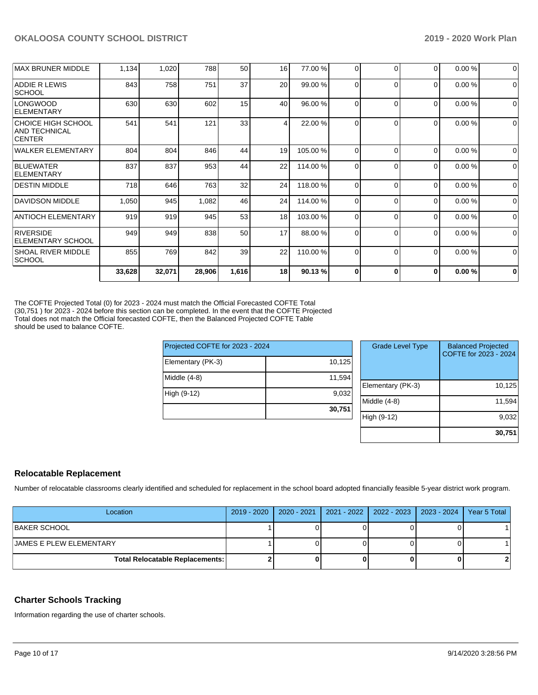|                                                             | 33,628 | 32,071 | 28,906 | 1,616 | 18 | 90.13%   | $\Omega$ | O        | $\bf{0}$ | 0.00% | $\bf{0}$    |
|-------------------------------------------------------------|--------|--------|--------|-------|----|----------|----------|----------|----------|-------|-------------|
| <b>SHOAL RIVER MIDDLE</b><br> SCHOOL                        | 855    | 769    | 842    | 39    | 22 | 110.00 % | $\Omega$ | $\Omega$ | $\Omega$ | 0.00% | $\mathbf 0$ |
| RIVERSIDE<br><b>ELEMENTARY SCHOOL</b>                       | 949    | 949    | 838    | 50    | 17 | 88.00 %  | 0        | $\Omega$ | 0        | 0.00% | $\Omega$    |
| <b>ANTIOCH ELEMENTARY</b>                                   | 919    | 919    | 945    | 53    | 18 | 103.00 % | $\Omega$ | $\Omega$ | 0        | 0.00% | 0           |
| <b>DAVIDSON MIDDLE</b>                                      | 1,050  | 945    | 1,082  | 46    | 24 | 114.00 % | 0        | $\Omega$ | 0        | 0.00% | $\Omega$    |
| <b>DESTIN MIDDLE</b>                                        | 718    | 646    | 763    | 32    | 24 | 118.00 % | $\Omega$ | $\Omega$ | $\Omega$ | 0.00% | $\mathbf 0$ |
| <b>BLUEWATER</b><br><b>IELEMENTARY</b>                      | 837    | 837    | 953    | 44    | 22 | 114.00 % | 0        | $\Omega$ | 0        | 0.00% | $\Omega$    |
| <b>WALKER ELEMENTARY</b>                                    | 804    | 804    | 846    | 44    | 19 | 105.00 % | 0        | 0        | 0        | 0.00% | 0           |
| CHOICE HIGH SCHOOL<br><b>AND TECHNICAL</b><br><b>CENTER</b> | 541    | 541    | 121    | 33    | 4  | 22.00 %  | 0        | U        | $\Omega$ | 0.00% | $\Omega$    |
| <b>LONGWOOD</b><br><b>ELEMENTARY</b>                        | 630    | 630    | 602    | 15    | 40 | 96.00 %  | 0        | $\Omega$ | 0        | 0.00% | $\Omega$    |
| <b>ADDIE R LEWIS</b><br><b>SCHOOL</b>                       | 843    | 758    | 751    | 37    | 20 | 99.00 %  | $\Omega$ | $\Omega$ | 0        | 0.00% | $\Omega$    |
| MAX BRUNER MIDDLE                                           | 1,134  | 1,020  | 788    | 50    | 16 | 77.00 %  | 0        | 0        | 0        | 0.00% | $\Omega$    |

The COFTE Projected Total (0) for 2023 - 2024 must match the Official Forecasted COFTE Total (30,751 ) for 2023 - 2024 before this section can be completed. In the event that the COFTE Projected Total does not match the Official forecasted COFTE, then the Balanced Projected COFTE Table should be used to balance COFTE.

| Projected COFTE for 2023 - 2024 |        |
|---------------------------------|--------|
| Elementary (PK-3)               | 10,125 |
| Middle $(4-8)$                  | 11,594 |
| High (9-12)                     | 9,032  |
|                                 | 30,751 |

| <b>Grade Level Type</b> | <b>Balanced Projected</b><br>COFTE for 2023 - 2024 |
|-------------------------|----------------------------------------------------|
| Elementary (PK-3)       | 10,125                                             |
| Middle $(4-8)$          | 11,594                                             |
| High (9-12)             | 9,032                                              |
|                         | 30,751                                             |

# **Relocatable Replacement**

Number of relocatable classrooms clearly identified and scheduled for replacement in the school board adopted financially feasible 5-year district work program.

| Location                               | 2019 - 2020   2020 - 2021   2021 - 2022   2022 - 2023   2023 - 2024 |  | Year 5 Total |
|----------------------------------------|---------------------------------------------------------------------|--|--------------|
| <b>IBAKER SCHOOL</b>                   |                                                                     |  |              |
| <b>JAMES E PLEW ELEMENTARY</b>         |                                                                     |  |              |
| <b>Total Relocatable Replacements:</b> |                                                                     |  |              |

# **Charter Schools Tracking**

Information regarding the use of charter schools.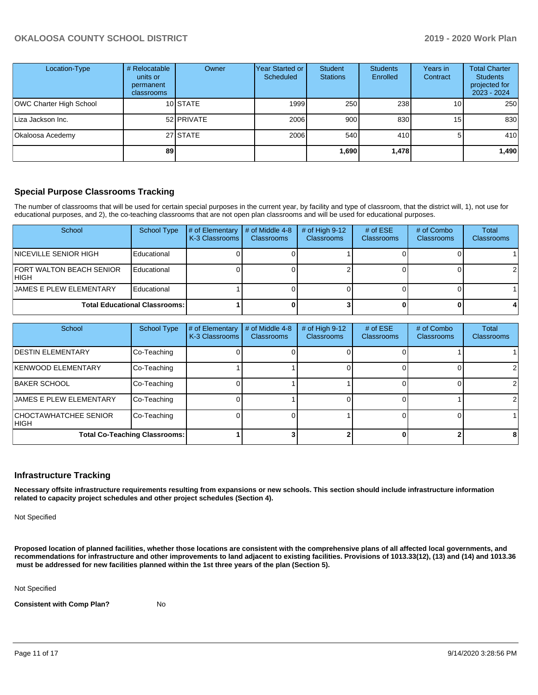| Location-Type           | # Relocatable<br>units or<br>permanent<br>classrooms | Owner      | Year Started or<br><b>Scheduled</b> | Student<br><b>Stations</b> | <b>Students</b><br>Enrolled | Years in<br>Contract | <b>Total Charter</b><br><b>Students</b><br>projected for<br>2023 - 2024 |
|-------------------------|------------------------------------------------------|------------|-------------------------------------|----------------------------|-----------------------------|----------------------|-------------------------------------------------------------------------|
| OWC Charter High School |                                                      | 10 STATE   | 1999                                | 250                        | 238                         | 10 <sub>1</sub>      | 250                                                                     |
| Liza Jackson Inc.       |                                                      | 52 PRIVATE | 2006                                | 900                        | 830                         | 15                   | 830                                                                     |
| Okaloosa Acedemy        |                                                      | 27 STATE   | 2006                                | 540                        | 410 <b>1</b>                |                      | 410                                                                     |
|                         | 89                                                   |            |                                     | ا 690. ا                   | 1,478                       |                      | 1,490                                                                   |

### **Special Purpose Classrooms Tracking**

The number of classrooms that will be used for certain special purposes in the current year, by facility and type of classroom, that the district will, 1), not use for educational purposes, and 2), the co-teaching classrooms that are not open plan classrooms and will be used for educational purposes.

| School                                   | <b>School Type</b> | # of Elementary<br>K-3 Classrooms | # of Middle 4-8<br><b>Classrooms</b> | # of High $9-12$<br><b>Classrooms</b> | # of $ESE$<br><b>Classrooms</b> | # of Combo<br><b>Classrooms</b> | Total<br>Classrooms |
|------------------------------------------|--------------------|-----------------------------------|--------------------------------------|---------------------------------------|---------------------------------|---------------------------------|---------------------|
| <b>INICEVILLE SENIOR HIGH</b>            | Educational        |                                   |                                      |                                       |                                 |                                 |                     |
| <b>FORT WALTON BEACH SENIOR</b><br>IHIGH | Educational        |                                   |                                      |                                       |                                 |                                 | $\overline{2}$      |
| <b>JAMES E PLEW ELEMENTARY</b>           | Educational        |                                   |                                      |                                       |                                 |                                 |                     |
| <b>Total Educational Classrooms:</b>     |                    |                                   |                                      |                                       |                                 |                                 |                     |

| School                                 | <b>School Type</b> | # of Elementary<br>K-3 Classrooms | # of Middle 4-8<br><b>Classrooms</b> | # of High 9-12<br>Classrooms | # of $ESE$<br><b>Classrooms</b> | # of Combo<br><b>Classrooms</b> | Total<br>Classrooms |
|----------------------------------------|--------------------|-----------------------------------|--------------------------------------|------------------------------|---------------------------------|---------------------------------|---------------------|
| <b>IDESTIN ELEMENTARY</b>              | Co-Teaching        |                                   |                                      |                              |                                 |                                 |                     |
| <b>KENWOOD ELEMENTARY</b>              | Co-Teaching        |                                   |                                      |                              |                                 |                                 |                     |
| <b>BAKER SCHOOL</b>                    | Co-Teaching        |                                   |                                      |                              |                                 |                                 |                     |
| <b>JAMES E PLEW ELEMENTARY</b>         | Co-Teaching        |                                   |                                      |                              |                                 |                                 |                     |
| <b>CHOCTAWHATCHEE SENIOR</b><br>IHIGH. | Co-Teaching        |                                   |                                      |                              |                                 |                                 |                     |
| <b>Total Co-Teaching Classrooms:</b>   |                    |                                   |                                      |                              |                                 |                                 | 8                   |

### **Infrastructure Tracking**

**Necessary offsite infrastructure requirements resulting from expansions or new schools. This section should include infrastructure information related to capacity project schedules and other project schedules (Section 4).** 

Not Specified

**Proposed location of planned facilities, whether those locations are consistent with the comprehensive plans of all affected local governments, and recommendations for infrastructure and other improvements to land adjacent to existing facilities. Provisions of 1013.33(12), (13) and (14) and 1013.36 must be addressed for new facilities planned within the 1st three years of the plan (Section 5).** 

Not Specified

**Consistent with Comp Plan?** No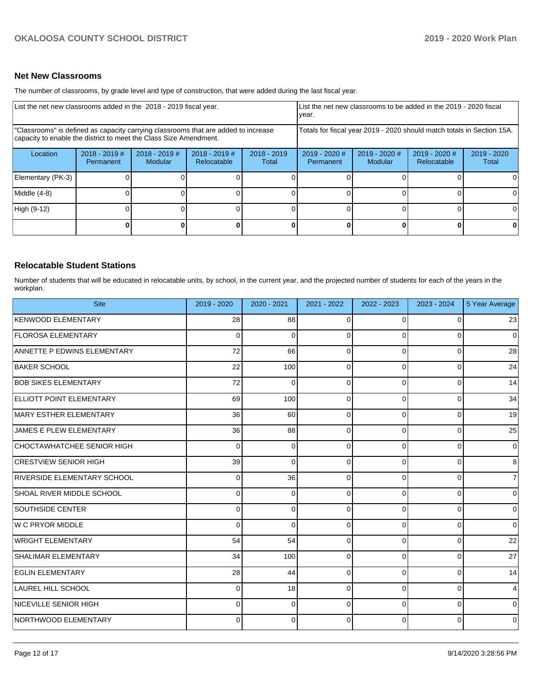#### **Net New Classrooms**

The number of classrooms, by grade level and type of construction, that were added during the last fiscal year.

| List the net new classrooms added in the 2018 - 2019 fiscal year. |                                                                                                                                                         |                                   |                                |                                                                        | List the net new classrooms to be added in the 2019 - 2020 fiscal<br>year. |                                   |                                     |                        |
|-------------------------------------------------------------------|---------------------------------------------------------------------------------------------------------------------------------------------------------|-----------------------------------|--------------------------------|------------------------------------------------------------------------|----------------------------------------------------------------------------|-----------------------------------|-------------------------------------|------------------------|
|                                                                   | "Classrooms" is defined as capacity carrying classrooms that are added to increase<br>capacity to enable the district to meet the Class Size Amendment. |                                   |                                | Totals for fiscal year 2019 - 2020 should match totals in Section 15A. |                                                                            |                                   |                                     |                        |
| Location                                                          | $2018 - 2019$ #<br>Permanent                                                                                                                            | $2018 - 2019$ #<br><b>Modular</b> | $2018 - 2019$ #<br>Relocatable | $2018 - 2019$<br>Total                                                 | 2019 - 2020 #<br>Permanent                                                 | $2019 - 2020$ #<br><b>Modular</b> | 2019 - 2020 #<br><b>Relocatable</b> | $2019 - 2020$<br>Total |
| Elementary (PK-3)                                                 |                                                                                                                                                         |                                   |                                |                                                                        |                                                                            |                                   |                                     |                        |
| Middle (4-8)                                                      |                                                                                                                                                         |                                   |                                |                                                                        |                                                                            |                                   |                                     |                        |
| High (9-12)                                                       |                                                                                                                                                         |                                   |                                |                                                                        |                                                                            |                                   |                                     |                        |
|                                                                   |                                                                                                                                                         |                                   |                                |                                                                        |                                                                            |                                   |                                     |                        |

### **Relocatable Student Stations**

Number of students that will be educated in relocatable units, by school, in the current year, and the projected number of students for each of the years in the workplan.

| <b>Site</b>                        | 2019 - 2020 | 2020 - 2021 | 2021 - 2022 | 2022 - 2023 | 2023 - 2024 | 5 Year Average |
|------------------------------------|-------------|-------------|-------------|-------------|-------------|----------------|
| KENWOOD ELEMENTARY                 | 28          | 88          | 0           | $\Omega$    |             | 23             |
| <b>FLOROSA ELEMENTARY</b>          | $\Omega$    | $\Omega$    | ∩           | $\Omega$    | O           | $\overline{0}$ |
| <b>ANNETTE P EDWINS ELEMENTARY</b> | 72          | 66          | 0           | $\Omega$    | $\Omega$    | 28             |
| <b>BAKER SCHOOL</b>                | 22          | 100         | 0           | $\Omega$    | 0           | 24             |
| <b>BOB SIKES ELEMENTARY</b>        | 72          | $\mathbf 0$ | 0           | $\Omega$    | $\Omega$    | 14             |
| ELLIOTT POINT ELEMENTARY           | 69          | 100         | 0           | $\Omega$    | 0           | 34             |
| MARY ESTHER ELEMENTARY             | 36          | 60          | 0           | $\Omega$    | 0           | 19             |
| JAMES E PLEW ELEMENTARY            | 36          | 88          | $\Omega$    | $\Omega$    | $\Omega$    | 25             |
| CHOCTAWHATCHEE SENIOR HIGH         | $\Omega$    | $\Omega$    | O           | $\Omega$    | 0           | $\overline{0}$ |
| <b>CRESTVIEW SENIOR HIGH</b>       | 39          | $\Omega$    | $\Omega$    | $\Omega$    | $\Omega$    | 8              |
| <b>RIVERSIDE ELEMENTARY SCHOOL</b> | 0           | 36          | 0           | 0           | $\Omega$    | $\overline{7}$ |
| SHOAL RIVER MIDDLE SCHOOL          | 0           | $\mathbf 0$ | 0           | $\Omega$    | 0           | $\overline{0}$ |
| <b>SOUTHSIDE CENTER</b>            | 0           | $\Omega$    | O           | $\Omega$    | $\Omega$    | 0              |
| W C PRYOR MIDDLE                   | $\Omega$    | $\Omega$    | 0           | $\Omega$    | $\Omega$    | $\Omega$       |
| WRIGHT ELEMENTARY                  | 54          | 54          | 0           | $\Omega$    | $\Omega$    | 22             |
| <b>SHALIMAR ELEMENTARY</b>         | 34          | 100         | $\Omega$    | $\Omega$    | $\Omega$    | 27             |
| <b>EGLIN ELEMENTARY</b>            | 28          | 44          | $\Omega$    | $\Omega$    | $\Omega$    | 14             |
| <b>LAUREL HILL SCHOOL</b>          | 0           | 18          | 0           | $\Omega$    | $\Omega$    | $\overline{4}$ |
| NICEVILLE SENIOR HIGH              | 0           | $\Omega$    | $\Omega$    | $\Omega$    | $\Omega$    | $\Omega$       |
| NORTHWOOD ELEMENTARY               | 0           | $\Omega$    | n           | $\Omega$    | $\Omega$    | $\overline{0}$ |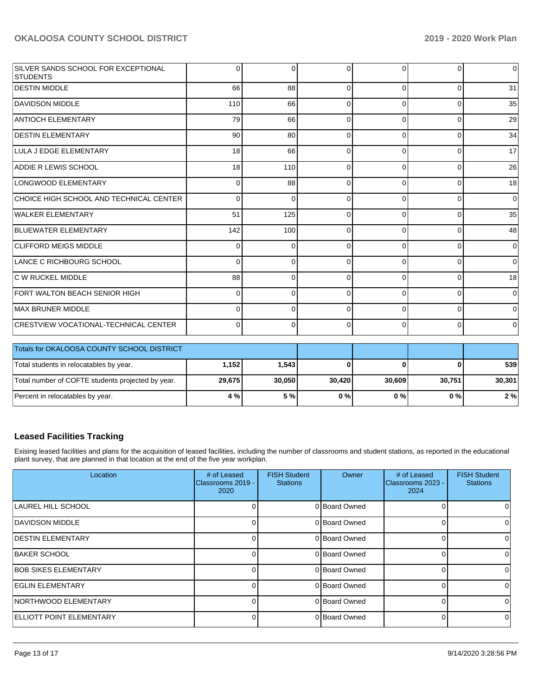| SILVER SANDS SCHOOL FOR EXCEPTIONAL<br>STUDENTS | 0            | $\Omega$ | $\Omega$ | 0            | $\Omega$       | $\overline{0}$ |
|-------------------------------------------------|--------------|----------|----------|--------------|----------------|----------------|
| <b>DESTIN MIDDLE</b>                            | 66           | 88       | $\Omega$ | $\Omega$     | $\Omega$       | 31             |
| <b>DAVIDSON MIDDLE</b>                          | 110          | 66       | $\Omega$ | 0            | $\Omega$       | 35             |
| <b>ANTIOCH ELEMENTARY</b>                       | 79           | 66       | $\Omega$ | 0            | $\overline{0}$ | 29             |
| <b>DESTIN ELEMENTARY</b>                        | 90           | 80       | $\Omega$ | 0            | $\overline{0}$ | 34             |
| LULA J EDGE ELEMENTARY                          | 18           | 66       | $\Omega$ | 0            | $\overline{0}$ | 17             |
| ADDIE R LEWIS SCHOOL                            | 18           | 110      | $\Omega$ | 0            | $\Omega$       | 26             |
| LONGWOOD ELEMENTARY                             | 0            | 88       | $\Omega$ | $\Omega$     | $\Omega$       | 18             |
| CHOICE HIGH SCHOOL AND TECHNICAL CENTER         | 0            | $\Omega$ | $\Omega$ | 0            | $\Omega$       | $\overline{0}$ |
| WALKER ELEMENTARY                               | 51           | 125      | $\Omega$ | 0            | $\Omega$       | 35             |
| <b>BLUEWATER ELEMENTARY</b>                     | 142          | 100      | $\Omega$ | 0            | $\overline{0}$ | 48             |
| <b>CLIFFORD MEIGS MIDDLE</b>                    | $\Omega$     | 0        | $\Omega$ | $\Omega$     | $\Omega$       | $\overline{0}$ |
| LANCE C RICHBOURG SCHOOL                        | <sup>0</sup> | $\Omega$ | $\Omega$ | <sup>n</sup> | $\Omega$       | $\overline{0}$ |
| <b>C W RUCKEL MIDDLE</b>                        | 88           | 0        | $\Omega$ | 0            | $\Omega$       | 18             |
| <b>FORT WALTON BEACH SENIOR HIGH</b>            | 0            | $\Omega$ | $\Omega$ | $\Omega$     | $\Omega$       | $\mathbf 0$    |
| MAX BRUNER MIDDLE                               | 0            | $\Omega$ | $\Omega$ | 0            | $\overline{0}$ | $\overline{0}$ |
| CRESTVIEW VOCATIONAL-TECHNICAL CENTER           | 0            | 0        | $\Omega$ | 0            | 0              | $\overline{0}$ |

| Totals for OKALOOSA COUNTY SCHOOL DISTRICT        |         |        |        |        |        |        |
|---------------------------------------------------|---------|--------|--------|--------|--------|--------|
| Total students in relocatables by year.           | 1.152 l | 1.543  |        |        |        | 539    |
| Total number of COFTE students projected by year. | 29,675  | 30.050 | 30.420 | 30.609 | 30.751 | 30,301 |
| Percent in relocatables by year.                  | 4 %     | 5%     | 0%     | 0%     | 0 % I  | 2%     |

# **Leased Facilities Tracking**

Exising leased facilities and plans for the acquisition of leased facilities, including the number of classrooms and student stations, as reported in the educational plant survey, that are planned in that location at the end of the five year workplan.

| Location                        | # of Leased<br>Classrooms 2019 -<br>2020 | <b>FISH Student</b><br><b>Stations</b> | Owner         | # of Leased<br>Classrooms 2023 -<br>2024 | <b>FISH Student</b><br><b>Stations</b> |
|---------------------------------|------------------------------------------|----------------------------------------|---------------|------------------------------------------|----------------------------------------|
| LAUREL HILL SCHOOL              |                                          |                                        | 0 Board Owned |                                          | 0.                                     |
| DAVIDSON MIDDLE                 |                                          |                                        | 0 Board Owned |                                          | 0                                      |
| <b>IDESTIN ELEMENTARY</b>       |                                          |                                        | 0 Board Owned |                                          | 0                                      |
| <b>BAKER SCHOOL</b>             |                                          |                                        | 0 Board Owned |                                          | 0                                      |
| <b>BOB SIKES ELEMENTARY</b>     |                                          |                                        | 0 Board Owned |                                          | $\Omega$                               |
| <b>EGLIN ELEMENTARY</b>         |                                          |                                        | 0 Board Owned |                                          | 0                                      |
| <b>NORTHWOOD ELEMENTARY</b>     |                                          |                                        | 0 Board Owned |                                          | $\Omega$                               |
| <b>ELLIOTT POINT ELEMENTARY</b> |                                          |                                        | 0 Board Owned |                                          | $\Omega$                               |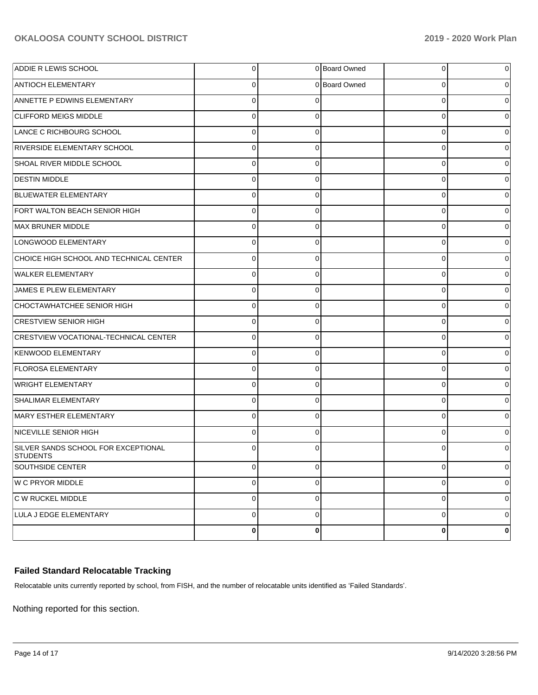| <b>ADDIE R LEWIS SCHOOL</b>                     | 0           |             | 0 Board Owned | 0           | 0 |
|-------------------------------------------------|-------------|-------------|---------------|-------------|---|
| ANTIOCH ELEMENTARY                              | 0           |             | 0 Board Owned | 0           | 0 |
| ANNETTE P EDWINS ELEMENTARY                     | $\Omega$    | 0           |               | $\mathbf 0$ | 0 |
| <b>CLIFFORD MEIGS MIDDLE</b>                    | $\Omega$    | 0           |               | $\mathbf 0$ | 0 |
| LANCE C RICHBOURG SCHOOL                        | $\Omega$    | $\Omega$    |               | $\mathbf 0$ | 0 |
| RIVERSIDE ELEMENTARY SCHOOL                     | $\Omega$    | 0           |               | 0           | 0 |
| SHOAL RIVER MIDDLE SCHOOL                       | $\Omega$    | $\Omega$    |               | $\mathbf 0$ | 0 |
| <b>DESTIN MIDDLE</b>                            | 0           | 0           |               | 0           | 0 |
| BLUEWATER ELEMENTARY                            | $\Omega$    | $\Omega$    |               | $\mathbf 0$ | 0 |
| FORT WALTON BEACH SENIOR HIGH                   | $\Omega$    | $\Omega$    |               | $\mathbf 0$ | 0 |
| MAX BRUNER MIDDLE                               | $\Omega$    | 0           |               | $\mathbf 0$ | 0 |
| LONGWOOD ELEMENTARY                             | 0           | 0           |               | 0           | 0 |
| CHOICE HIGH SCHOOL AND TECHNICAL CENTER         | $\Omega$    | $\Omega$    |               | $\mathbf 0$ | 0 |
| WALKER ELEMENTARY                               | $\Omega$    | 0           |               | $\mathbf 0$ | 0 |
| JAMES E PLEW ELEMENTARY                         | $\Omega$    | $\Omega$    |               | $\mathbf 0$ | 0 |
| CHOCTAWHATCHEE SENIOR HIGH                      | $\Omega$    | 0           |               | 0           | 0 |
| <b>CRESTVIEW SENIOR HIGH</b>                    | $\Omega$    | $\Omega$    |               | $\mathbf 0$ | 0 |
| <b>CRESTVIEW VOCATIONAL-TECHNICAL CENTER</b>    | $\Omega$    | 0           |               | $\mathbf 0$ | 0 |
| <b>KENWOOD ELEMENTARY</b>                       | $\Omega$    | $\Omega$    |               | $\mathbf 0$ | 0 |
| <b>FLOROSA ELEMENTARY</b>                       | $\Omega$    | 0           |               | $\mathbf 0$ | 0 |
| WRIGHT ELEMENTARY                               | 0           | 0           |               | $\mathbf 0$ | 0 |
| <b>SHALIMAR ELEMENTARY</b>                      | $\Omega$    | 0           |               | $\mathbf 0$ | 0 |
| MARY ESTHER ELEMENTARY                          | $\Omega$    | $\Omega$    |               | $\mathbf 0$ | 0 |
| NICEVILLE SENIOR HIGH                           | $\Omega$    | $\Omega$    |               | $\mathbf 0$ | 0 |
| SILVER SANDS SCHOOL FOR EXCEPTIONAL<br>STUDENTS |             | 0           |               | U           |   |
| SOUTHSIDE CENTER                                | $\mathbf 0$ | 0           |               | 0           | 0 |
| W C PRYOR MIDDLE                                | 0           | $\mathbf 0$ |               | 0           | 0 |
| C W RUCKEL MIDDLE                               | 0           | 0           |               | 0           | 0 |
| LULA J EDGE ELEMENTARY                          | 0           | $\mathbf 0$ |               | 0           | 0 |
|                                                 | $\pmb{0}$   | 0           |               | $\pmb{0}$   | 0 |

# **Failed Standard Relocatable Tracking**

Relocatable units currently reported by school, from FISH, and the number of relocatable units identified as 'Failed Standards'.

Nothing reported for this section.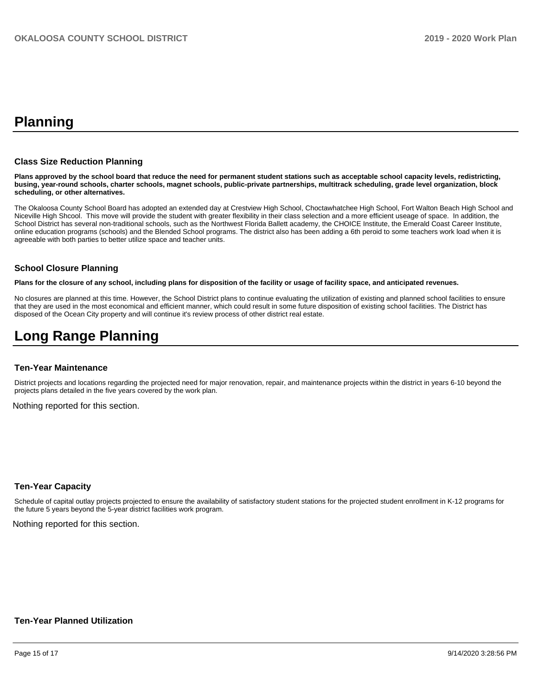# **Planning**

#### **Class Size Reduction Planning**

**Plans approved by the school board that reduce the need for permanent student stations such as acceptable school capacity levels, redistricting, busing, year-round schools, charter schools, magnet schools, public-private partnerships, multitrack scheduling, grade level organization, block scheduling, or other alternatives.**

The Okaloosa County School Board has adopted an extended day at Crestview High School, Choctawhatchee High School, Fort Walton Beach High School and Niceville High Shcool. This move will provide the student with greater flexibility in their class selection and a more efficient useage of space. In addition, the School District has several non-traditional schools, such as the Northwest Florida Ballett academy, the CHOICE Institute, the Emerald Coast Career Institute, online education programs (schools) and the Blended School programs. The district also has been adding a 6th peroid to some teachers work load when it is agreeable with both parties to better utilize space and teacher units.

#### **School Closure Planning**

**Plans for the closure of any school, including plans for disposition of the facility or usage of facility space, and anticipated revenues.** 

No closures are planned at this time. However, the School District plans to continue evaluating the utilization of existing and planned school facilities to ensure that they are used in the most economical and efficient manner, which could result in some future disposition of existing school facilities. The District has disposed of the Ocean City property and will continue it's review process of other district real estate.

# **Long Range Planning**

#### **Ten-Year Maintenance**

District projects and locations regarding the projected need for major renovation, repair, and maintenance projects within the district in years 6-10 beyond the projects plans detailed in the five years covered by the work plan.

Nothing reported for this section.

#### **Ten-Year Capacity**

Schedule of capital outlay projects projected to ensure the availability of satisfactory student stations for the projected student enrollment in K-12 programs for the future 5 years beyond the 5-year district facilities work program.

Nothing reported for this section.

### **Ten-Year Planned Utilization**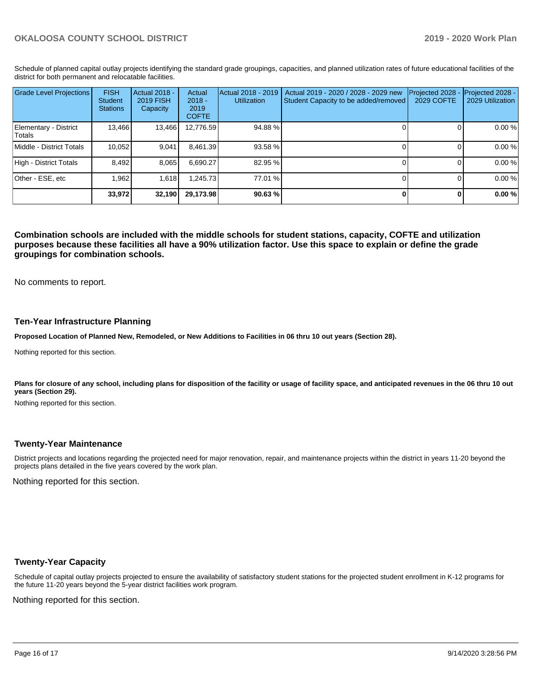Schedule of planned capital outlay projects identifying the standard grade groupings, capacities, and planned utilization rates of future educational facilities of the district for both permanent and relocatable facilities.

| <b>Grade Level Projections</b>   | <b>FISH</b><br>Student<br><b>Stations</b> | <b>Actual 2018 -</b><br>2019 FISH<br>Capacity | Actual<br>$2018 -$<br>2019<br><b>COFTE</b> | Actual 2018 - 2019<br><b>Utilization</b> | Actual 2019 - 2020 / 2028 - 2029 new<br>Student Capacity to be added/removed | Projected 2028<br>2029 COFTE | Projected 2028 -<br>2029 Utilization |
|----------------------------------|-------------------------------------------|-----------------------------------------------|--------------------------------------------|------------------------------------------|------------------------------------------------------------------------------|------------------------------|--------------------------------------|
| Elementary - District<br> Totals | 13,466                                    | 13,466                                        | 12,776.59                                  | 94.88%                                   |                                                                              |                              | 0.00 %                               |
| Middle - District Totals         | 10.052                                    | 9.041                                         | 8.461.39                                   | 93.58 %                                  |                                                                              |                              | 0.00 %                               |
| High - District Totals           | 8.492                                     | 8,065                                         | 6.690.27                                   | 82.95 %                                  |                                                                              |                              | 0.00 %                               |
| Other - ESE, etc                 | .962                                      | 1.618                                         | 1.245.73                                   | 77.01 %                                  |                                                                              |                              | 0.00 %                               |
|                                  | 33,972                                    | 32,190                                        | 29,173.98                                  | 90.63 %                                  |                                                                              |                              | 0.00%                                |

**Combination schools are included with the middle schools for student stations, capacity, COFTE and utilization purposes because these facilities all have a 90% utilization factor. Use this space to explain or define the grade groupings for combination schools.** 

No comments to report.

#### **Ten-Year Infrastructure Planning**

**Proposed Location of Planned New, Remodeled, or New Additions to Facilities in 06 thru 10 out years (Section 28).**

Nothing reported for this section.

Plans for closure of any school, including plans for disposition of the facility or usage of facility space, and anticipated revenues in the 06 thru 10 out **years (Section 29).**

Nothing reported for this section.

#### **Twenty-Year Maintenance**

District projects and locations regarding the projected need for major renovation, repair, and maintenance projects within the district in years 11-20 beyond the projects plans detailed in the five years covered by the work plan.

Nothing reported for this section.

### **Twenty-Year Capacity**

Schedule of capital outlay projects projected to ensure the availability of satisfactory student stations for the projected student enrollment in K-12 programs for the future 11-20 years beyond the 5-year district facilities work program.

Nothing reported for this section.